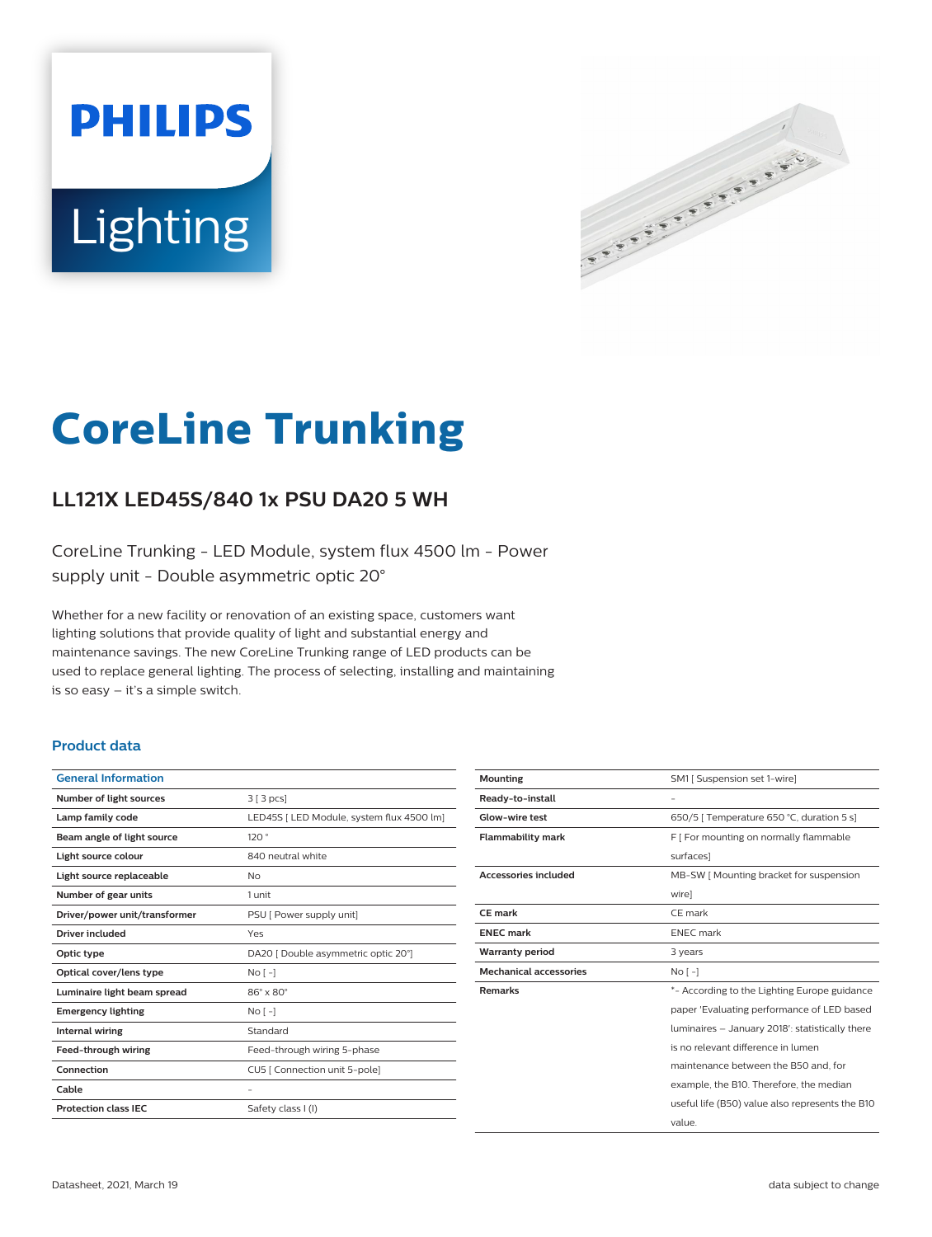# **PHILIPS** Lighting



# **CoreLine Trunking**

# **LL121X LED45S/840 1x PSU DA20 5 WH**

CoreLine Trunking - LED Module, system flux 4500 lm - Power supply unit - Double asymmetric optic 20°

Whether for a new facility or renovation of an existing space, customers want lighting solutions that provide quality of light and substantial energy and maintenance savings. The new CoreLine Trunking range of LED products can be used to replace general lighting. The process of selecting, installing and maintaining is so easy – it's a simple switch.

#### **Product data**

| <b>General Information</b>    |                                           |
|-------------------------------|-------------------------------------------|
| Number of light sources       | 3 [3 pcs]                                 |
| Lamp family code              | LED45S   LED Module, system flux 4500 lm] |
| Beam angle of light source    | 120°                                      |
| Light source colour           | 840 neutral white                         |
| Light source replaceable      | No                                        |
| Number of gear units          | 1 unit                                    |
| Driver/power unit/transformer | PSU [ Power supply unit]                  |
| <b>Driver included</b>        | Yes                                       |
| Optic type                    | DA20 [ Double asymmetric optic 20°]       |
| Optical cover/lens type       | No <sub>1</sub>                           |
| Luminaire light beam spread   | $86^\circ \times 80^\circ$                |
| <b>Emergency lighting</b>     | No <sub>1</sub>                           |
| <b>Internal wiring</b>        | Standard                                  |
| Feed-through wiring           | Feed-through wiring 5-phase               |
| Connection                    | CU5   Connection unit 5-pole]             |
| Cable                         |                                           |
| <b>Protection class IEC</b>   | Safety class I (I)                        |
|                               |                                           |

| <b>Mounting</b>               | SM1 [ Suspension set 1-wire]                    |
|-------------------------------|-------------------------------------------------|
| Ready-to-install              | -                                               |
| Glow-wire test                | 650/5   Temperature 650 °C, duration 5 s]       |
| <b>Flammability mark</b>      | F   For mounting on normally flammable          |
|                               | surfaces]                                       |
| <b>Accessories included</b>   | MB-SW [ Mounting bracket for suspension         |
|                               | wire]                                           |
| CE mark                       | CE mark                                         |
| <b>ENEC</b> mark              | <b>ENEC</b> mark                                |
| <b>Warranty period</b>        | 3 years                                         |
| <b>Mechanical accessories</b> | No <sub>1</sub>                                 |
| <b>Remarks</b>                | *- According to the Lighting Europe guidance    |
|                               | paper 'Evaluating performance of LED based      |
|                               | luminaires - January 2018': statistically there |
|                               | is no relevant difference in lumen              |
|                               | maintenance between the B50 and, for            |
|                               | example, the B10. Therefore, the median         |
|                               | useful life (B50) value also represents the B10 |
|                               | value.                                          |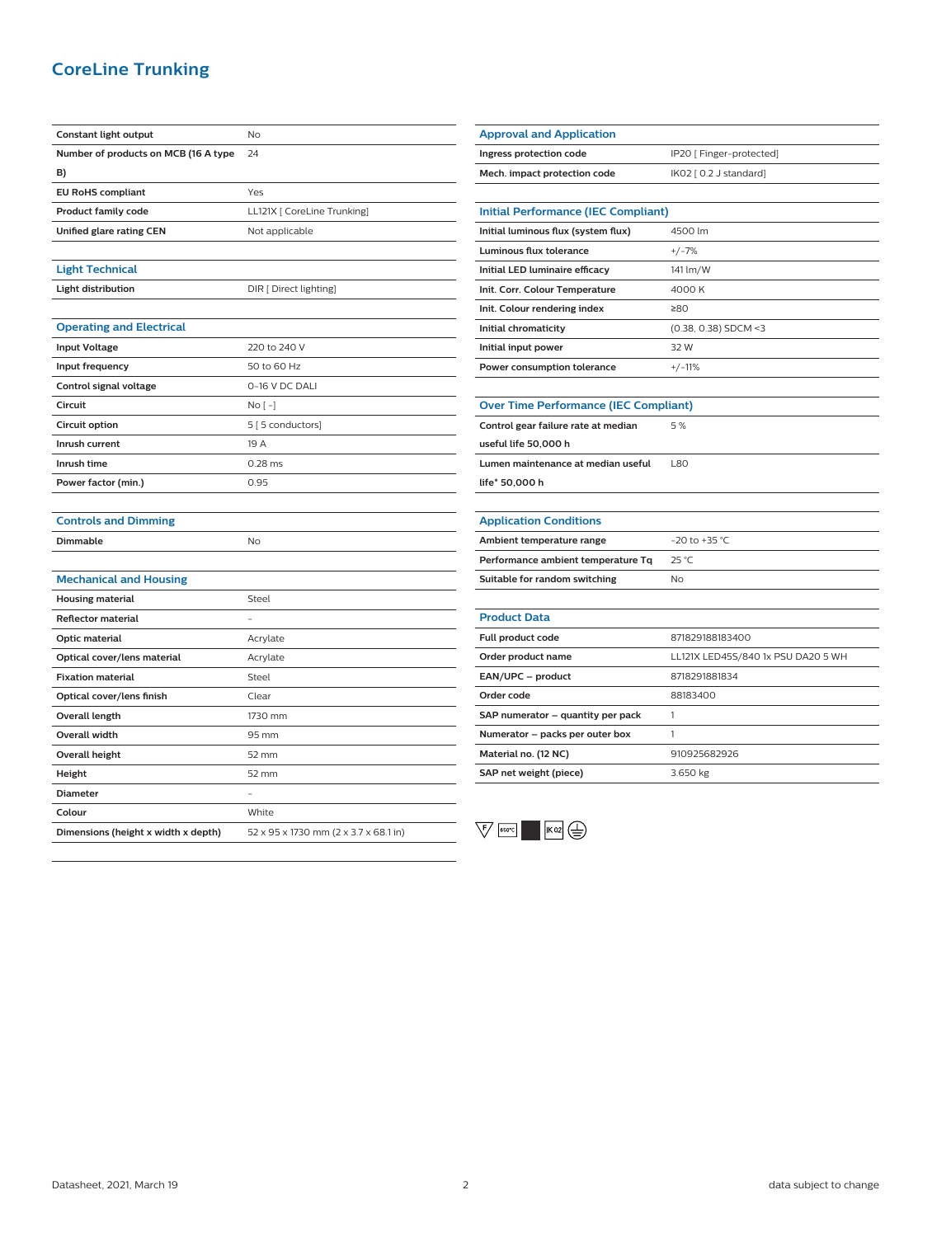## **CoreLine Trunking**

| Constant light output                | No                                    |
|--------------------------------------|---------------------------------------|
| Number of products on MCB (16 A type | 24                                    |
| B)                                   |                                       |
| <b>EU RoHS compliant</b>             | Yes                                   |
| <b>Product family code</b>           | LL121X [ CoreLine Trunking]           |
| Unified glare rating CEN             | Not applicable                        |
|                                      |                                       |
| <b>Light Technical</b>               |                                       |
| <b>Light distribution</b>            | DIR [ Direct lighting]                |
|                                      |                                       |
| <b>Operating and Electrical</b>      |                                       |
| <b>Input Voltage</b>                 | 220 to 240 V                          |
| Input frequency                      | 50 to 60 Hz                           |
| Control signal voltage               | 0-16 V DC DALI                        |
| Circuit                              | $No [ - ]$                            |
| Circuit option                       | 5 [5 conductors]                      |
| Inrush current                       | 19 A                                  |
| Inrush time                          | 0.28 ms                               |
| Power factor (min.)                  | 0.95                                  |
|                                      |                                       |
| <b>Controls and Dimming</b>          |                                       |
| <b>Dimmable</b>                      | No                                    |
|                                      |                                       |
| <b>Mechanical and Housing</b>        |                                       |
| <b>Housing material</b>              | Steel                                 |
| <b>Reflector material</b>            |                                       |
| <b>Optic material</b>                | Acrylate                              |
| Optical cover/lens material          | Acrylate                              |
| <b>Fixation material</b>             | Steel                                 |
| Optical cover/lens finish            | Clear                                 |
| Overall length                       | 1730 mm                               |
| Overall width                        | 95 mm                                 |
| <b>Overall height</b>                | 52 mm                                 |
| Height                               | 52 mm                                 |
| <b>Diameter</b>                      |                                       |
| Colour                               | White                                 |
| Dimensions (height x width x depth)  | 52 x 95 x 1730 mm (2 x 3.7 x 68.1 in) |
|                                      |                                       |

| <b>Approval and Application</b>              |                                    |  |
|----------------------------------------------|------------------------------------|--|
| Ingress protection code                      | IP20 [ Finger-protected]           |  |
| Mech. impact protection code                 | IK02 [ 0.2 J standard]             |  |
|                                              |                                    |  |
| <b>Initial Performance (IEC Compliant)</b>   |                                    |  |
| Initial luminous flux (system flux)          | 4500 lm                            |  |
| Luminous flux tolerance                      | $+/-7%$                            |  |
| Initial LED luminaire efficacy               | 141 lm/W                           |  |
| Init. Corr. Colour Temperature               | 4000K                              |  |
| Init. Colour rendering index                 | 280                                |  |
| Initial chromaticity                         | $(0.38, 0.38)$ SDCM <3             |  |
| Initial input power                          | 32 W                               |  |
| Power consumption tolerance                  | $+/-11%$                           |  |
|                                              |                                    |  |
| <b>Over Time Performance (IEC Compliant)</b> |                                    |  |
| Control gear failure rate at median          | 5 %                                |  |
| useful life 50,000 h                         |                                    |  |
| Lumen maintenance at median useful           | <b>L80</b>                         |  |
| life* 50,000 h                               |                                    |  |
|                                              |                                    |  |
| <b>Application Conditions</b>                |                                    |  |
| Ambient temperature range                    | $-20$ to $+35$ °C                  |  |
| Performance ambient temperature Tq           | 25 °C                              |  |
| Suitable for random switching                | No                                 |  |
|                                              |                                    |  |
| <b>Product Data</b>                          |                                    |  |
| Full product code                            | 871829188183400                    |  |
| Order product name                           | LL121X LED45S/840 1x PSU DA20 5 WH |  |
| EAN/UPC - product                            | 8718291881834                      |  |
| Order code                                   | 88183400                           |  |
| SAP numerator – quantity per pack            | 1                                  |  |
| Numerator - packs per outer box              | 1                                  |  |
| Material no. (12 NC)                         | 910925682926                       |  |
| SAP net weight (piece)                       | 3.650 kg                           |  |
|                                              |                                    |  |